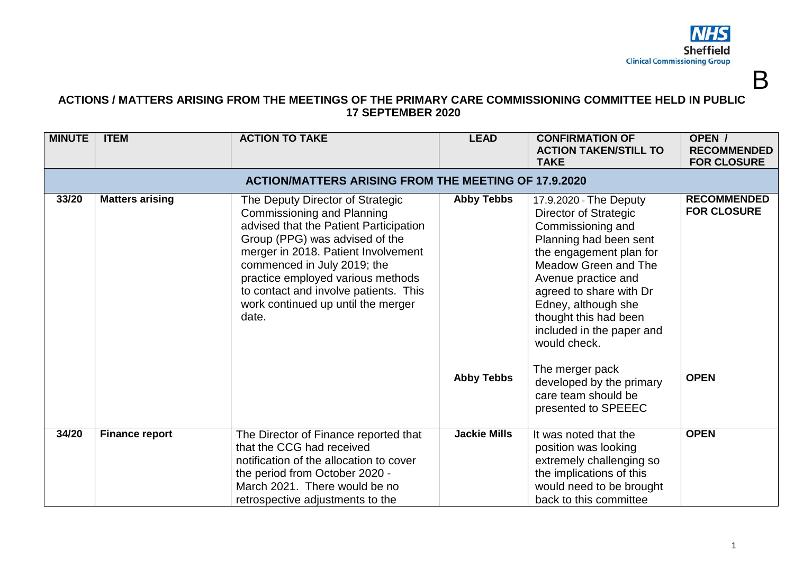

B

## **ACTIONS / MATTERS ARISING FROM THE MEETINGS OF THE PRIMARY CARE COMMISSIONING COMMITTEE HELD IN PUBLIC 17 SEPTEMBER 2020**

| <b>MINUTE</b>                                               | <b>ITEM</b>            | <b>ACTION TO TAKE</b>                                                                                                                                                                                                                                                                                                                                | <b>LEAD</b>                            | <b>CONFIRMATION OF</b><br><b>ACTION TAKEN/STILL TO</b><br><b>TAKE</b>                                                                                                                                                                                                                                                                                                                         | OPEN /<br><b>RECOMMENDED</b><br><b>FOR CLOSURE</b>      |  |  |  |
|-------------------------------------------------------------|------------------------|------------------------------------------------------------------------------------------------------------------------------------------------------------------------------------------------------------------------------------------------------------------------------------------------------------------------------------------------------|----------------------------------------|-----------------------------------------------------------------------------------------------------------------------------------------------------------------------------------------------------------------------------------------------------------------------------------------------------------------------------------------------------------------------------------------------|---------------------------------------------------------|--|--|--|
| <b>ACTION/MATTERS ARISING FROM THE MEETING OF 17.9.2020</b> |                        |                                                                                                                                                                                                                                                                                                                                                      |                                        |                                                                                                                                                                                                                                                                                                                                                                                               |                                                         |  |  |  |
| 33/20                                                       | <b>Matters arising</b> | The Deputy Director of Strategic<br><b>Commissioning and Planning</b><br>advised that the Patient Participation<br>Group (PPG) was advised of the<br>merger in 2018. Patient Involvement<br>commenced in July 2019; the<br>practice employed various methods<br>to contact and involve patients. This<br>work continued up until the merger<br>date. | <b>Abby Tebbs</b><br><b>Abby Tebbs</b> | 17.9.2020 - The Deputy<br>Director of Strategic<br>Commissioning and<br>Planning had been sent<br>the engagement plan for<br>Meadow Green and The<br>Avenue practice and<br>agreed to share with Dr<br>Edney, although she<br>thought this had been<br>included in the paper and<br>would check.<br>The merger pack<br>developed by the primary<br>care team should be<br>presented to SPEEEC | <b>RECOMMENDED</b><br><b>FOR CLOSURE</b><br><b>OPEN</b> |  |  |  |
|                                                             |                        |                                                                                                                                                                                                                                                                                                                                                      |                                        |                                                                                                                                                                                                                                                                                                                                                                                               |                                                         |  |  |  |
| 34/20                                                       | <b>Finance report</b>  | The Director of Finance reported that<br>that the CCG had received<br>notification of the allocation to cover<br>the period from October 2020 -<br>March 2021. There would be no<br>retrospective adjustments to the                                                                                                                                 | <b>Jackie Mills</b>                    | It was noted that the<br>position was looking<br>extremely challenging so<br>the implications of this<br>would need to be brought<br>back to this committee                                                                                                                                                                                                                                   | <b>OPEN</b>                                             |  |  |  |